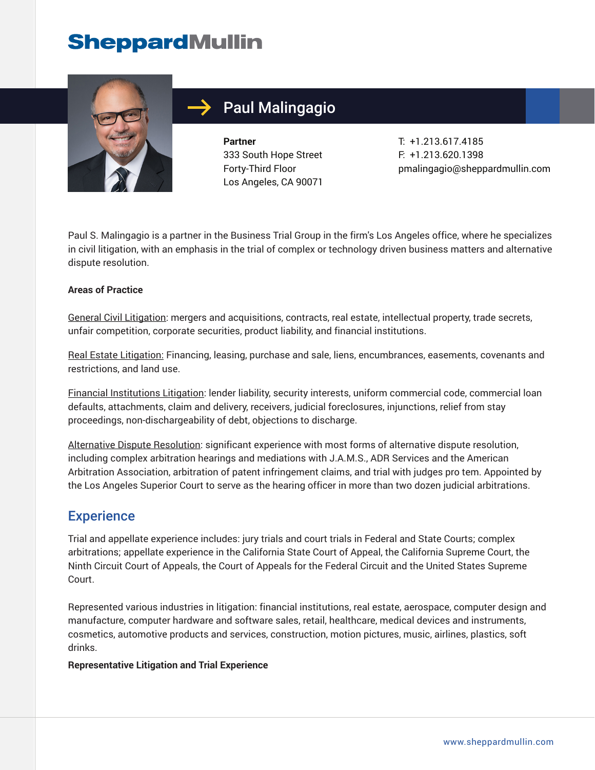# **SheppardMullin**



## Paul Malingagio

**Partner** 333 South Hope Street Forty-Third Floor Los Angeles, CA 90071

T: +1.213.617.4185 F: +1.213.620.1398 pmalingagio@sheppardmullin.com

Paul S. Malingagio is a partner in the Business Trial Group in the firm's Los Angeles office, where he specializes in civil litigation, with an emphasis in the trial of complex or technology driven business matters and alternative dispute resolution.

#### **Areas of Practice**

General Civil Litigation: mergers and acquisitions, contracts, real estate, intellectual property, trade secrets, unfair competition, corporate securities, product liability, and financial institutions.

Real Estate Litigation: Financing, leasing, purchase and sale, liens, encumbrances, easements, covenants and restrictions, and land use.

Financial Institutions Litigation: lender liability, security interests, uniform commercial code, commercial loan defaults, attachments, claim and delivery, receivers, judicial foreclosures, injunctions, relief from stay proceedings, non-dischargeability of debt, objections to discharge.

Alternative Dispute Resolution: significant experience with most forms of alternative dispute resolution, including complex arbitration hearings and mediations with J.A.M.S., ADR Services and the American Arbitration Association, arbitration of patent infringement claims, and trial with judges pro tem. Appointed by the Los Angeles Superior Court to serve as the hearing officer in more than two dozen judicial arbitrations.

### **Experience**

Trial and appellate experience includes: jury trials and court trials in Federal and State Courts; complex arbitrations; appellate experience in the California State Court of Appeal, the California Supreme Court, the Ninth Circuit Court of Appeals, the Court of Appeals for the Federal Circuit and the United States Supreme Court.

Represented various industries in litigation: financial institutions, real estate, aerospace, computer design and manufacture, computer hardware and software sales, retail, healthcare, medical devices and instruments, cosmetics, automotive products and services, construction, motion pictures, music, airlines, plastics, soft drinks.

#### **Representative Litigation and Trial Experience**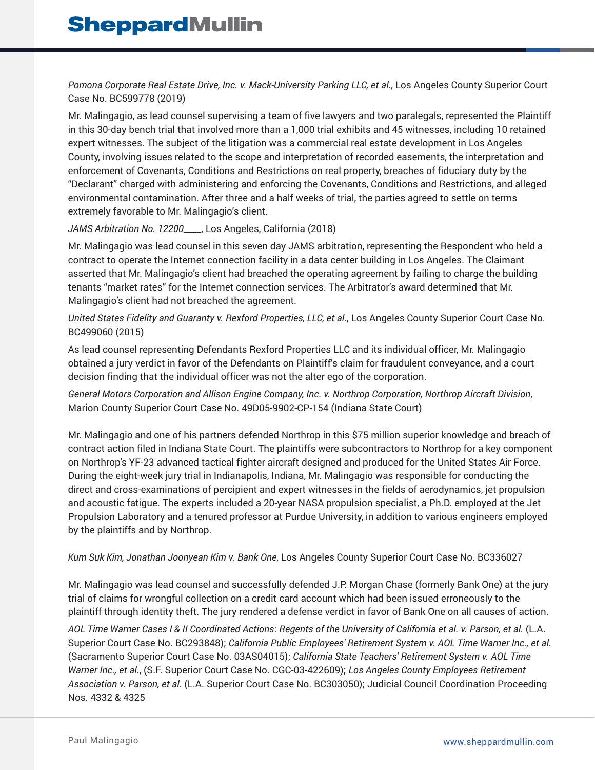*Pomona Corporate Real Estate Drive, Inc. v. Mack-University Parking LLC, et al.*, Los Angeles County Superior Court Case No. BC599778 (2019)

Mr. Malingagio, as lead counsel supervising a team of five lawyers and two paralegals, represented the Plaintiff in this 30-day bench trial that involved more than a 1,000 trial exhibits and 45 witnesses, including 10 retained expert witnesses. The subject of the litigation was a commercial real estate development in Los Angeles County, involving issues related to the scope and interpretation of recorded easements, the interpretation and enforcement of Covenants, Conditions and Restrictions on real property, breaches of fiduciary duty by the "Declarant" charged with administering and enforcing the Covenants, Conditions and Restrictions, and alleged environmental contamination. After three and a half weeks of trial, the parties agreed to settle on terms extremely favorable to Mr. Malingagio's client.

#### *JAMS Arbitration No. 12200*\_\_\_\_, Los Angeles, California (2018)

Mr. Malingagio was lead counsel in this seven day JAMS arbitration, representing the Respondent who held a contract to operate the Internet connection facility in a data center building in Los Angeles. The Claimant asserted that Mr. Malingagio's client had breached the operating agreement by failing to charge the building tenants "market rates" for the Internet connection services. The Arbitrator's award determined that Mr. Malingagio's client had not breached the agreement.

*United States Fidelity and Guaranty v. Rexford Properties, LLC, et al.*, Los Angeles County Superior Court Case No. BC499060 (2015)

As lead counsel representing Defendants Rexford Properties LLC and its individual officer, Mr. Malingagio obtained a jury verdict in favor of the Defendants on Plaintiff's claim for fraudulent conveyance, and a court decision finding that the individual officer was not the alter ego of the corporation.

*General Motors Corporation and Allison Engine Company, Inc. v. Northrop Corporation, Northrop Aircraft Division*, Marion County Superior Court Case No. 49D05-9902-CP-154 (Indiana State Court)

Mr. Malingagio and one of his partners defended Northrop in this \$75 million superior knowledge and breach of contract action filed in Indiana State Court. The plaintiffs were subcontractors to Northrop for a key component on Northrop's YF-23 advanced tactical fighter aircraft designed and produced for the United States Air Force. During the eight-week jury trial in Indianapolis, Indiana, Mr. Malingagio was responsible for conducting the direct and cross-examinations of percipient and expert witnesses in the fields of aerodynamics, jet propulsion and acoustic fatigue. The experts included a 20-year NASA propulsion specialist, a Ph.D. employed at the Jet Propulsion Laboratory and a tenured professor at Purdue University, in addition to various engineers employed by the plaintiffs and by Northrop.

*Kum Suk Kim, Jonathan Joonyean Kim v. Bank One*, Los Angeles County Superior Court Case No. BC336027

Mr. Malingagio was lead counsel and successfully defended J.P. Morgan Chase (formerly Bank One) at the jury trial of claims for wrongful collection on a credit card account which had been issued erroneously to the plaintiff through identity theft. The jury rendered a defense verdict in favor of Bank One on all causes of action.

*AOL Time Warner Cases I & II Coordinated Actions*: *Regents of the University of California et al. v. Parson, et al.* (L.A. Superior Court Case No. BC293848); *California Public Employees' Retirement System v. AOL Time Warner Inc., et al.* (Sacramento Superior Court Case No. 03AS04015); *California State Teachers' Retirement System v. AOL Time Warner Inc., et al*., (S.F. Superior Court Case No. CGC-03-422609); *Los Angeles County Employees Retirement Association v. Parson, et al.* (L.A. Superior Court Case No. BC303050); Judicial Council Coordination Proceeding Nos. 4332 & 4325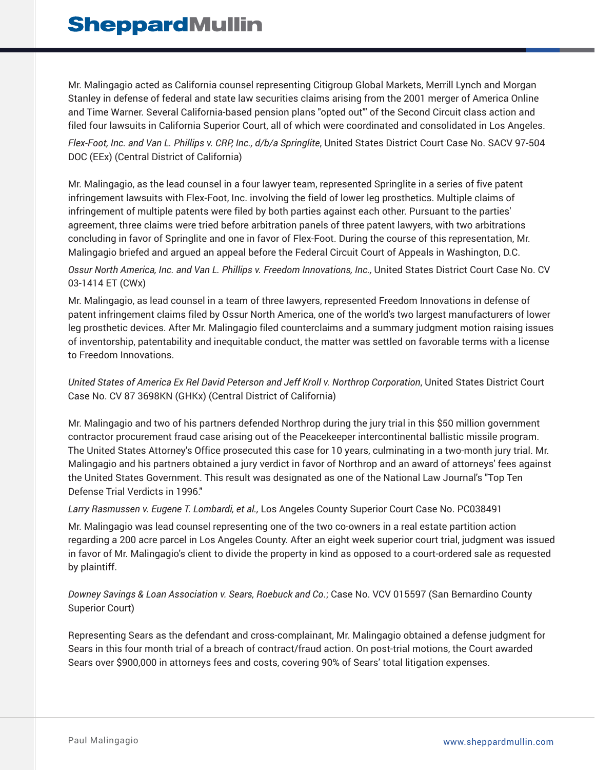Mr. Malingagio acted as California counsel representing Citigroup Global Markets, Merrill Lynch and Morgan Stanley in defense of federal and state law securities claims arising from the 2001 merger of America Online and Time Warner. Several California-based pension plans "opted out"' of the Second Circuit class action and filed four lawsuits in California Superior Court, all of which were coordinated and consolidated in Los Angeles.

*Flex-Foot, Inc. and Van L. Phillips v. CRP, Inc., d/b/a Springlite*, United States District Court Case No. SACV 97-504 DOC (EEx) (Central District of California)

Mr. Malingagio, as the lead counsel in a four lawyer team, represented Springlite in a series of five patent infringement lawsuits with Flex-Foot, Inc. involving the field of lower leg prosthetics. Multiple claims of infringement of multiple patents were filed by both parties against each other. Pursuant to the parties' agreement, three claims were tried before arbitration panels of three patent lawyers, with two arbitrations concluding in favor of Springlite and one in favor of Flex-Foot. During the course of this representation, Mr. Malingagio briefed and argued an appeal before the Federal Circuit Court of Appeals in Washington, D.C.

#### *Ossur North America, Inc. and Van L. Phillips v. Freedom Innovations, Inc.,* United States District Court Case No. CV 03-1414 ET (CWx)

Mr. Malingagio, as lead counsel in a team of three lawyers, represented Freedom Innovations in defense of patent infringement claims filed by Ossur North America, one of the world's two largest manufacturers of lower leg prosthetic devices. After Mr. Malingagio filed counterclaims and a summary judgment motion raising issues of inventorship, patentability and inequitable conduct, the matter was settled on favorable terms with a license to Freedom Innovations.

#### *United States of America Ex Rel David Peterson and Jeff Kroll v. Northrop Corporation*, United States District Court Case No. CV 87 3698KN (GHKx) (Central District of California)

Mr. Malingagio and two of his partners defended Northrop during the jury trial in this \$50 million government contractor procurement fraud case arising out of the Peacekeeper intercontinental ballistic missile program. The United States Attorney's Office prosecuted this case for 10 years, culminating in a two-month jury trial. Mr. Malingagio and his partners obtained a jury verdict in favor of Northrop and an award of attorneys' fees against the United States Government. This result was designated as one of the National Law Journal's "Top Ten Defense Trial Verdicts in 1996."

#### *Larry Rasmussen v. Eugene T. Lombardi, et al.,* Los Angeles County Superior Court Case No. PC038491

Mr. Malingagio was lead counsel representing one of the two co-owners in a real estate partition action regarding a 200 acre parcel in Los Angeles County. After an eight week superior court trial, judgment was issued in favor of Mr. Malingagio's client to divide the property in kind as opposed to a court-ordered sale as requested by plaintiff.

*Downey Savings & Loan Association v. Sears, Roebuck and Co*.; Case No. VCV 015597 (San Bernardino County Superior Court)

Representing Sears as the defendant and cross-complainant, Mr. Malingagio obtained a defense judgment for Sears in this four month trial of a breach of contract/fraud action. On post-trial motions, the Court awarded Sears over \$900,000 in attorneys fees and costs, covering 90% of Sears' total litigation expenses.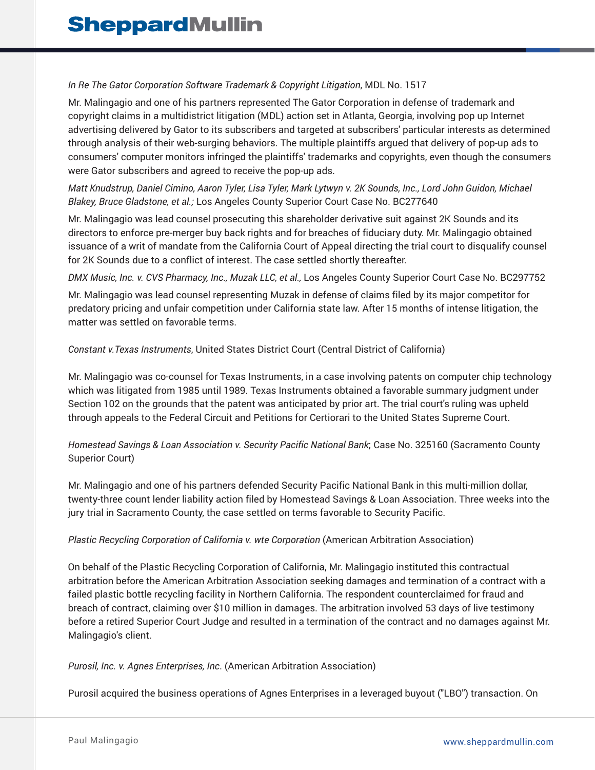#### *In Re The Gator Corporation Software Trademark & Copyright Litigation*, MDL No. 1517

Mr. Malingagio and one of his partners represented The Gator Corporation in defense of trademark and copyright claims in a multidistrict litigation (MDL) action set in Atlanta, Georgia, involving pop up Internet advertising delivered by Gator to its subscribers and targeted at subscribers' particular interests as determined through analysis of their web-surging behaviors. The multiple plaintiffs argued that delivery of pop-up ads to consumers' computer monitors infringed the plaintiffs' trademarks and copyrights, even though the consumers were Gator subscribers and agreed to receive the pop-up ads.

*Matt Knudstrup, Daniel Cimino, Aaron Tyler, Lisa Tyler, Mark Lytwyn v. 2K Sounds, Inc., Lord John Guidon, Michael Blakey, Bruce Gladstone, et al.;* Los Angeles County Superior Court Case No. BC277640

Mr. Malingagio was lead counsel prosecuting this shareholder derivative suit against 2K Sounds and its directors to enforce pre-merger buy back rights and for breaches of fiduciary duty. Mr. Malingagio obtained issuance of a writ of mandate from the California Court of Appeal directing the trial court to disqualify counsel for 2K Sounds due to a conflict of interest. The case settled shortly thereafter.

*DMX Music, Inc. v. CVS Pharmacy, Inc., Muzak LLC, et al.,* Los Angeles County Superior Court Case No. BC297752

Mr. Malingagio was lead counsel representing Muzak in defense of claims filed by its major competitor for predatory pricing and unfair competition under California state law. After 15 months of intense litigation, the matter was settled on favorable terms.

#### *Constant v.Texas Instruments*, United States District Court (Central District of California)

Mr. Malingagio was co-counsel for Texas Instruments, in a case involving patents on computer chip technology which was litigated from 1985 until 1989. Texas Instruments obtained a favorable summary judgment under Section 102 on the grounds that the patent was anticipated by prior art. The trial court's ruling was upheld through appeals to the Federal Circuit and Petitions for Certiorari to the United States Supreme Court.

*Homestead Savings & Loan Association v. Security Pacific National Bank*; Case No. 325160 (Sacramento County Superior Court)

Mr. Malingagio and one of his partners defended Security Pacific National Bank in this multi-million dollar, twenty-three count lender liability action filed by Homestead Savings & Loan Association. Three weeks into the jury trial in Sacramento County, the case settled on terms favorable to Security Pacific.

#### *Plastic Recycling Corporation of California v. wte Corporation* (American Arbitration Association)

On behalf of the Plastic Recycling Corporation of California, Mr. Malingagio instituted this contractual arbitration before the American Arbitration Association seeking damages and termination of a contract with a failed plastic bottle recycling facility in Northern California. The respondent counterclaimed for fraud and breach of contract, claiming over \$10 million in damages. The arbitration involved 53 days of live testimony before a retired Superior Court Judge and resulted in a termination of the contract and no damages against Mr. Malingagio's client.

*Purosil, Inc. v. Agnes Enterprises, Inc*. (American Arbitration Association)

Purosil acquired the business operations of Agnes Enterprises in a leveraged buyout ("LBO") transaction. On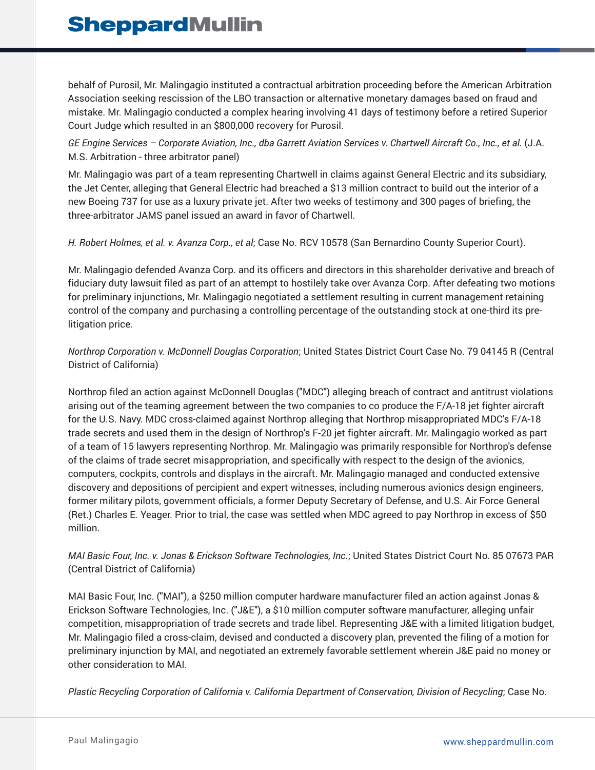behalf of Purosil, Mr. Malingagio instituted a contractual arbitration proceeding before the American Arbitration Association seeking rescission of the LBO transaction or alternative monetary damages based on fraud and mistake. Mr. Malingagio conducted a complex hearing involving 41 days of testimony before a retired Superior Court Judge which resulted in an \$800,000 recovery for Purosil.

*GE Engine Services – Corporate Aviation, Inc., dba Garrett Aviation Services v. Chartwell Aircraft Co., Inc., et al.* (J.A. M.S. Arbitration - three arbitrator panel)

Mr. Malingagio was part of a team representing Chartwell in claims against General Electric and its subsidiary, the Jet Center, alleging that General Electric had breached a \$13 million contract to build out the interior of a new Boeing 737 for use as a luxury private jet. After two weeks of testimony and 300 pages of briefing, the three-arbitrator JAMS panel issued an award in favor of Chartwell.

*H. Robert Holmes, et al. v. Avanza Corp., et al*; Case No. RCV 10578 (San Bernardino County Superior Court).

Mr. Malingagio defended Avanza Corp. and its officers and directors in this shareholder derivative and breach of fiduciary duty lawsuit filed as part of an attempt to hostilely take over Avanza Corp. After defeating two motions for preliminary injunctions, Mr. Malingagio negotiated a settlement resulting in current management retaining control of the company and purchasing a controlling percentage of the outstanding stock at one-third its prelitigation price.

*Northrop Corporation v. McDonnell Douglas Corporation*; United States District Court Case No. 79 04145 R (Central District of California)

Northrop filed an action against McDonnell Douglas ("MDC") alleging breach of contract and antitrust violations arising out of the teaming agreement between the two companies to co produce the F/A-18 jet fighter aircraft for the U.S. Navy. MDC cross-claimed against Northrop alleging that Northrop misappropriated MDC's F/A-18 trade secrets and used them in the design of Northrop's F-20 jet fighter aircraft. Mr. Malingagio worked as part of a team of 15 lawyers representing Northrop. Mr. Malingagio was primarily responsible for Northrop's defense of the claims of trade secret misappropriation, and specifically with respect to the design of the avionics, computers, cockpits, controls and displays in the aircraft. Mr. Malingagio managed and conducted extensive discovery and depositions of percipient and expert witnesses, including numerous avionics design engineers, former military pilots, government officials, a former Deputy Secretary of Defense, and U.S. Air Force General (Ret.) Charles E. Yeager. Prior to trial, the case was settled when MDC agreed to pay Northrop in excess of \$50 million.

*MAI Basic Four, Inc. v. Jonas & Erickson Software Technologies, Inc.*; United States District Court No. 85 07673 PAR (Central District of California)

MAI Basic Four, Inc. ("MAI"), a \$250 million computer hardware manufacturer filed an action against Jonas & Erickson Software Technologies, Inc. ("J&E"), a \$10 million computer software manufacturer, alleging unfair competition, misappropriation of trade secrets and trade libel. Representing J&E with a limited litigation budget, Mr. Malingagio filed a cross-claim, devised and conducted a discovery plan, prevented the filing of a motion for preliminary injunction by MAI, and negotiated an extremely favorable settlement wherein J&E paid no money or other consideration to MAI.

*Plastic Recycling Corporation of California v. California Department of Conservation, Division of Recycling*; Case No.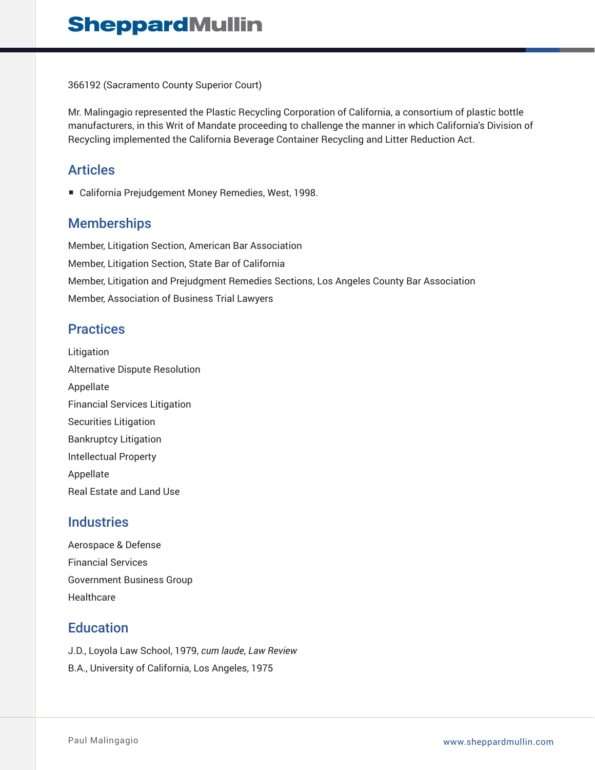366192 (Sacramento County Superior Court)

Mr. Malingagio represented the Plastic Recycling Corporation of California, a consortium of plastic bottle manufacturers, in this Writ of Mandate proceeding to challenge the manner in which California's Division of Recycling implemented the California Beverage Container Recycling and Litter Reduction Act.

## Articles

■ California Prejudgement Money Remedies, West, 1998.

## **Memberships**

Member, Litigation Section, American Bar Association Member, Litigation Section, State Bar of California Member, Litigation and Prejudgment Remedies Sections, Los Angeles County Bar Association Member, Association of Business Trial Lawyers

## **Practices**

Litigation Alternative Dispute Resolution Appellate Financial Services Litigation Securities Litigation Bankruptcy Litigation Intellectual Property Appellate Real Estate and Land Use

## **Industries**

Aerospace & Defense Financial Services Government Business Group Healthcare

## **Education**

J.D., Loyola Law School, 1979, *cum laude*, *Law Review* B.A., University of California, Los Angeles, 1975